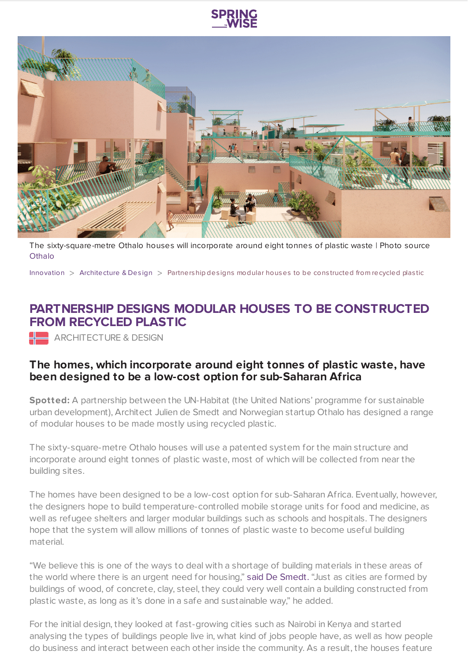



The sixty-square-metre Othalo houses will incorporate around eight tonnes of plastic waste | Photo source **[Othalo](https://www.othalo.com/)** 

[Innovation](https://www.springwise.com/search?type=innovation)  $>$  [Architecture](https://www.springwise.com/search?type=innovation§or=architecture-design) & Design  $>$  Partnership designs modular houses to be constructed from recycled plastic

## **PARTNERSHIP DESIGNS MODULAR HOUSES TO BE CONSTRUCTED FROM RECYCLED PLASTIC**

**ARCHITECTURE & DESIGN** 

## **The homes, which incorporate around eight tonnes of plastic waste, have been designed to be a low-cost option for sub-Saharan Africa**

**Spotted:** A partnership between the UN-Habitat (the United Nations' programme for sustainable urban development), Architect Julien de Smedt and Norwegian startup Othalo has designed a range of modular houses to be made mostly using recycled plastic.

The sixty-square-metre Othalo houses will use a patented system for the main structure and incorporate around eight tonnes of plastic waste, most of which will be collected from near the building sites.

The homes have been designed to be a low-cost option for sub-Saharan Africa. Eventually, however, the designers hope to build temperature-controlled mobile storage units for food and medicine, as well as refugee shelters and larger modular buildings such as schools and hospitals. The designers hope that the system will allow millions of tonnes of plastic waste to become useful building material.

"We believe this is one of the ways to deal with a shortage of building materials in these areas of the world where there is an urgent need for housing," said De [Smedt.](https://www.dezeen.com/2020/10/16/julien-de-smedt-houses-recycled-plastic-othalo/) "Just as cities are formed by buildings of wood, of concrete, clay, steel, they could very well contain a building constructed from plastic waste, as long as it's done in a safe and sustainable way," he added.

For the initial design, they looked at fast-growing cities such as Nairobi in Kenya and started analysing the types of buildings people live in, what kind of jobs people have, as well as how people do business and interact between each other inside the community. As a result, the houses feature